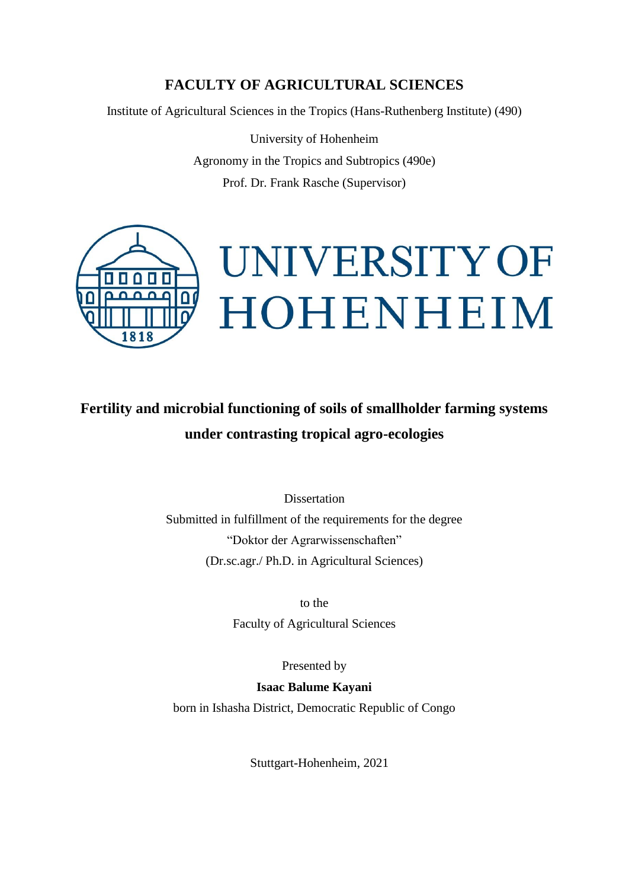## **FACULTY OF AGRICULTURAL SCIENCES**

Institute of Agricultural Sciences in the Tropics (Hans-Ruthenberg Institute) (490)

University of Hohenheim Agronomy in the Tropics and Subtropics (490e) Prof. Dr. Frank Rasche (Supervisor)



# **Fertility and microbial functioning of soils of smallholder farming systems under contrasting tropical agro-ecologies**

Dissertation Submitted in fulfillment of the requirements for the degree "Doktor der Agrarwissenschaften" (Dr.sc.agr./ Ph.D. in Agricultural Sciences)

> to the Faculty of Agricultural Sciences

> > Presented by

**Isaac Balume Kayani** born in Ishasha District, Democratic Republic of Congo

Stuttgart-Hohenheim, 2021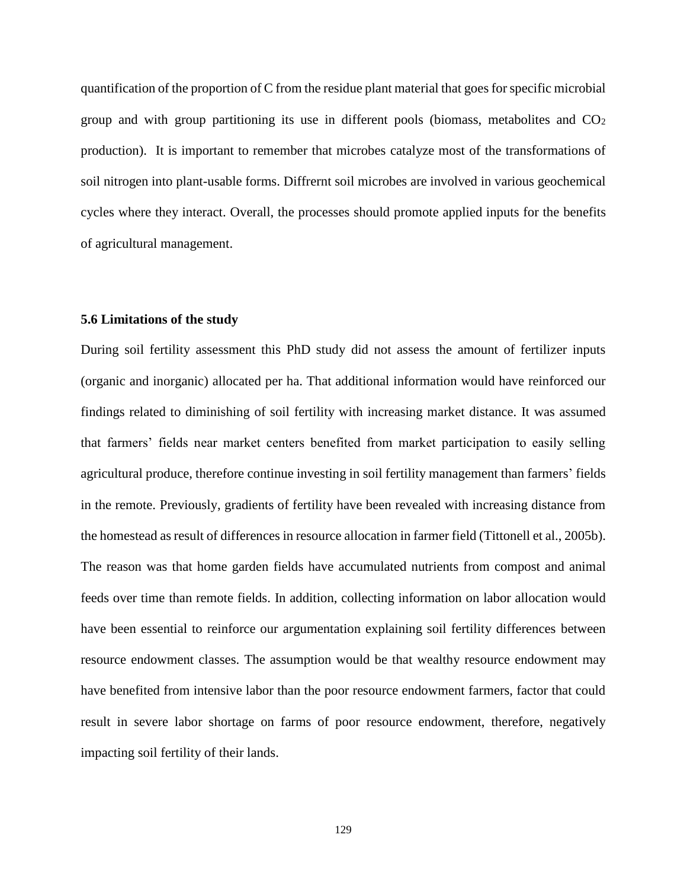### **5.6 Limitations of the study**

During soil fertility assessment this PhD study did not assess the amount of fertilizer inputs (organic and inorganic) allocated per ha. That additional information would have reinforced our findings related to diminishing of soil fertility with increasing market distance. It was assumed that farmers' fields near market centers benefited from market participation to easily selling agricultural produce, therefore continue investing in soil fertility management than farmers' fields in the remote. Previously, gradients of fertility have been revealed with increasing distance from the homestead as result of differences in resource allocation in farmer field (Tittonell et al., 2005b). The reason was that home garden fields have accumulated nutrients from compost and animal feeds over time than remote fields. In addition, collecting information on labor allocation would have been essential to reinforce our argumentation explaining soil fertility differences between resource endowment classes. The assumption would be that wealthy resource endowment may have benefited from intensive labor than the poor resource endowment farmers, factor that could result in severe labor shortage on farms of poor resource endowment, therefore, negatively impacting soil fertility of their lands.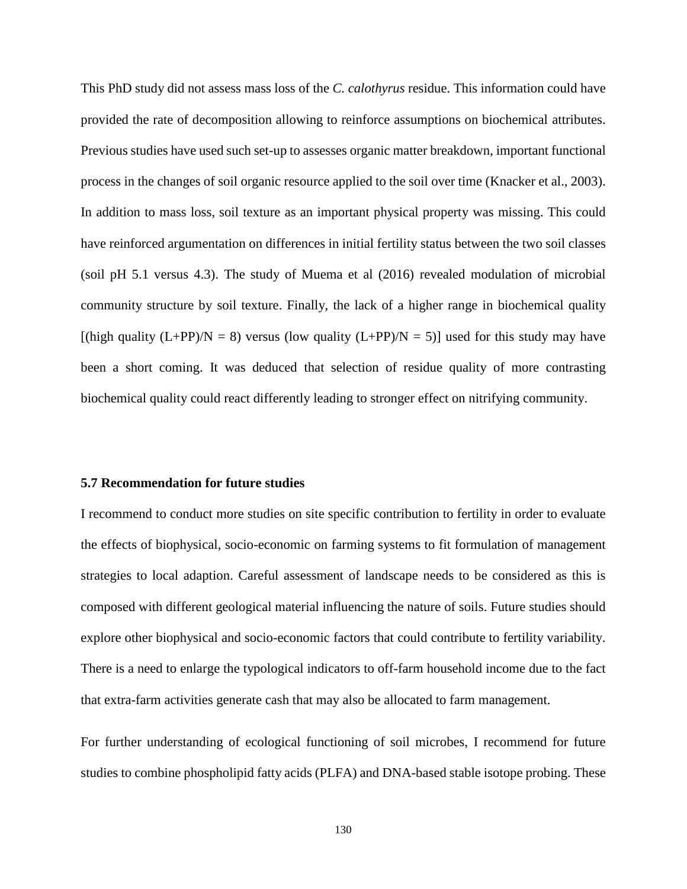This PhD study did not assess mass loss of the *C. calothyrus* residue. This information could have provided the rate of decomposition allowing to reinforce assumptions on biochemical attributes. Previous studies have used such set-up to assesses organic matter breakdown, important functional process in the changes of soil organic resource applied to the soil over time (Knacker et al., 2003). In addition to mass loss, soil texture as an important physical property was missing. This could have reinforced argumentation on differences in initial fertility status between the two soil classes (soil pH 5.1 versus 4.3). The study of Muema et al (2016) revealed modulation of microbial community structure by soil texture. Finally, the lack of a higher range in biochemical quality [(high quality  $(L+PP)/N = 8$ ) versus (low quality  $(L+PP)/N = 5$ )] used for this study may have been a short coming. It was deduced that selection of residue quality of more contrasting biochemical quality could react differently leading to stronger effect on nitrifying community.

#### **5.7 Recommendation for future studies**

I recommend to conduct more studies on site specific contribution to fertility in order to evaluate the effects of biophysical, socio-economic on farming systems to fit formulation of management strategies to local adaption. Careful assessment of landscape needs to be considered as this is composed with different geological material influencing the nature of soils. Future studies should explore other biophysical and socio-economic factors that could contribute to fertility variability. There is a need to enlarge the typological indicators to off-farm household income due to the fact that extra-farm activities generate cash that may also be allocated to farm management.

For further understanding of ecological functioning of soil microbes, I recommend for future studies to combine phospholipid fatty acids (PLFA) and DNA-based stable isotope probing. These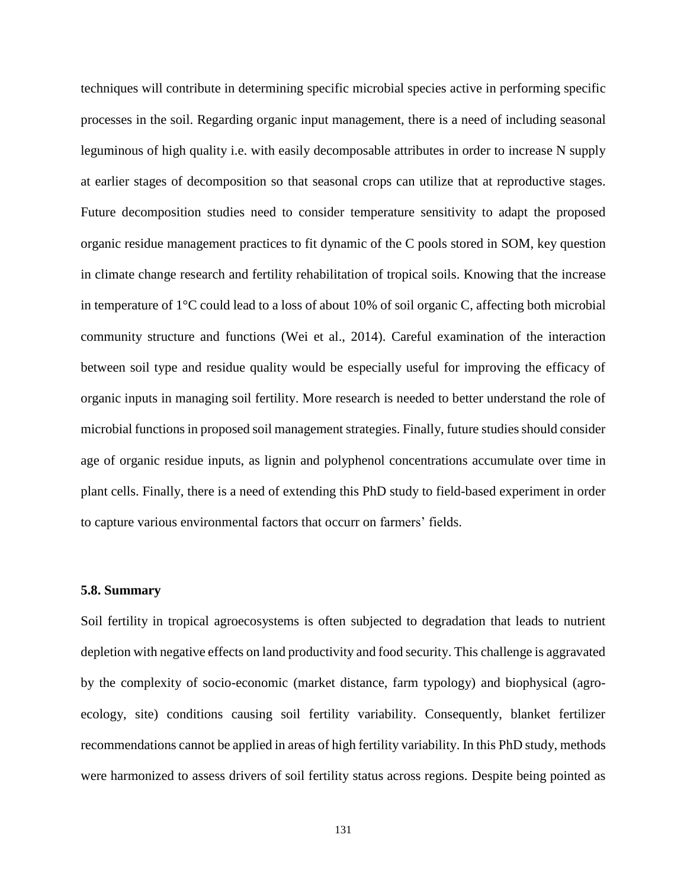techniques will contribute in determining specific microbial species active in performing specific processes in the soil. Regarding organic input management, there is a need of including seasonal leguminous of high quality i.e. with easily decomposable attributes in order to increase N supply at earlier stages of decomposition so that seasonal crops can utilize that at reproductive stages. Future decomposition studies need to consider temperature sensitivity to adapt the proposed organic residue management practices to fit dynamic of the C pools stored in SOM, key question in climate change research and fertility rehabilitation of tropical soils. Knowing that the increase in temperature of 1°C could lead to a loss of about 10% of soil organic C, affecting both microbial community structure and functions (Wei et al., 2014). Careful examination of the interaction between soil type and residue quality would be especially useful for improving the efficacy of organic inputs in managing soil fertility. More research is needed to better understand the role of microbial functions in proposed soil management strategies. Finally, future studies should consider age of organic residue inputs, as lignin and polyphenol concentrations accumulate over time in plant cells. Finally, there is a need of extending this PhD study to field-based experiment in order to capture various environmental factors that occurr on farmers' fields.

#### **5.8. Summary**

Soil fertility in tropical agroecosystems is often subjected to degradation that leads to nutrient depletion with negative effects on land productivity and food security. This challenge is aggravated by the complexity of socio-economic (market distance, farm typology) and biophysical (agroecology, site) conditions causing soil fertility variability. Consequently, blanket fertilizer recommendations cannot be applied in areas of high fertility variability. In this PhD study, methods were harmonized to assess drivers of soil fertility status across regions. Despite being pointed as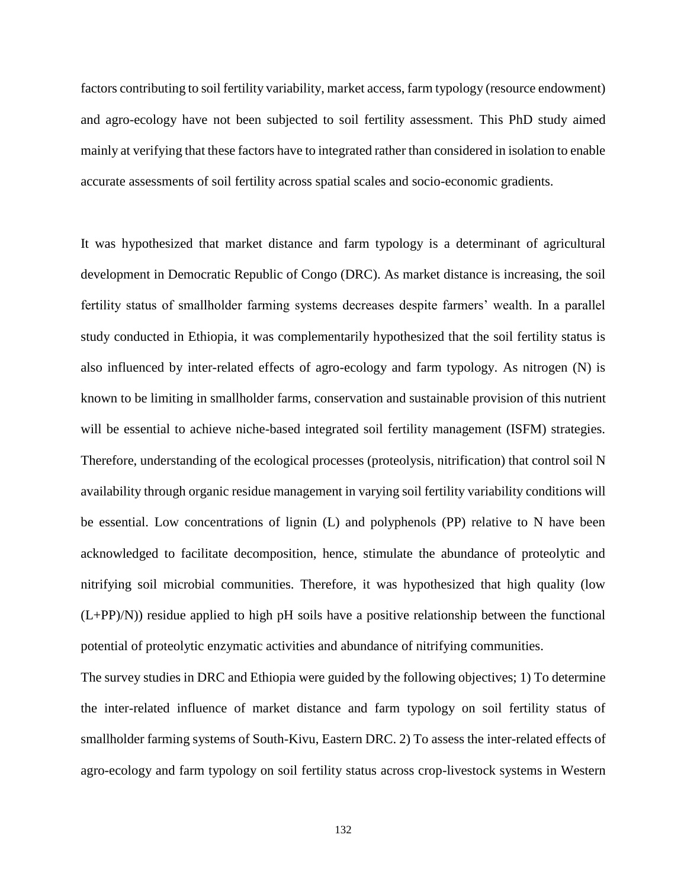factors contributing to soil fertility variability, market access, farm typology (resource endowment) and agro-ecology have not been subjected to soil fertility assessment. This PhD study aimed mainly at verifying that these factors have to integrated rather than considered in isolation to enable accurate assessments of soil fertility across spatial scales and socio-economic gradients.

It was hypothesized that market distance and farm typology is a determinant of agricultural development in Democratic Republic of Congo (DRC). As market distance is increasing, the soil fertility status of smallholder farming systems decreases despite farmers' wealth. In a parallel study conducted in Ethiopia, it was complementarily hypothesized that the soil fertility status is also influenced by inter-related effects of agro-ecology and farm typology. As nitrogen (N) is known to be limiting in smallholder farms, conservation and sustainable provision of this nutrient will be essential to achieve niche-based integrated soil fertility management (ISFM) strategies. Therefore, understanding of the ecological processes (proteolysis, nitrification) that control soil N availability through organic residue management in varying soil fertility variability conditions will be essential. Low concentrations of lignin (L) and polyphenols (PP) relative to N have been acknowledged to facilitate decomposition, hence, stimulate the abundance of proteolytic and nitrifying soil microbial communities. Therefore, it was hypothesized that high quality (low  $(L+PP)/N$ ) residue applied to high pH soils have a positive relationship between the functional potential of proteolytic enzymatic activities and abundance of nitrifying communities.

The survey studies in DRC and Ethiopia were guided by the following objectives; 1) To determine the inter-related influence of market distance and farm typology on soil fertility status of smallholder farming systems of South-Kivu, Eastern DRC. 2) To assess the inter-related effects of agro-ecology and farm typology on soil fertility status across crop-livestock systems in Western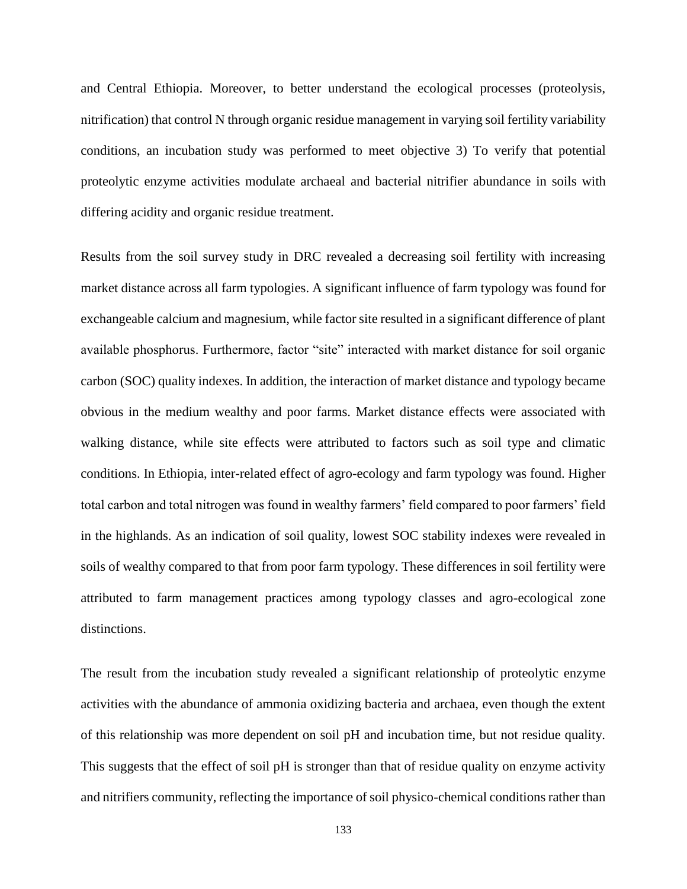and Central Ethiopia. Moreover, to better understand the ecological processes (proteolysis, nitrification) that control N through organic residue management in varying soil fertility variability conditions, an incubation study was performed to meet objective 3) To verify that potential proteolytic enzyme activities modulate archaeal and bacterial nitrifier abundance in soils with differing acidity and organic residue treatment.

Results from the soil survey study in DRC revealed a decreasing soil fertility with increasing market distance across all farm typologies. A significant influence of farm typology was found for exchangeable calcium and magnesium, while factor site resulted in a significant difference of plant available phosphorus. Furthermore, factor "site" interacted with market distance for soil organic carbon (SOC) quality indexes. In addition, the interaction of market distance and typology became obvious in the medium wealthy and poor farms. Market distance effects were associated with walking distance, while site effects were attributed to factors such as soil type and climatic conditions. In Ethiopia, inter-related effect of agro-ecology and farm typology was found. Higher total carbon and total nitrogen was found in wealthy farmers' field compared to poor farmers' field in the highlands. As an indication of soil quality, lowest SOC stability indexes were revealed in soils of wealthy compared to that from poor farm typology. These differences in soil fertility were attributed to farm management practices among typology classes and agro-ecological zone distinctions.

The result from the incubation study revealed a significant relationship of proteolytic enzyme activities with the abundance of ammonia oxidizing bacteria and archaea, even though the extent of this relationship was more dependent on soil pH and incubation time, but not residue quality. This suggests that the effect of soil pH is stronger than that of residue quality on enzyme activity and nitrifiers community, reflecting the importance of soil physico-chemical conditions rather than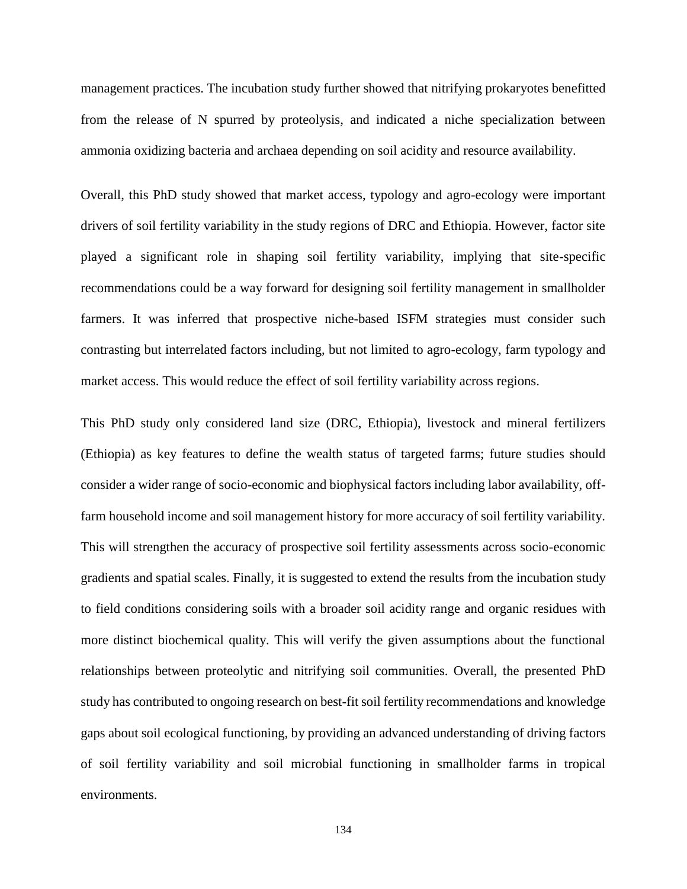management practices. The incubation study further showed that nitrifying prokaryotes benefitted from the release of N spurred by proteolysis, and indicated a niche specialization between ammonia oxidizing bacteria and archaea depending on soil acidity and resource availability.

Overall, this PhD study showed that market access, typology and agro-ecology were important drivers of soil fertility variability in the study regions of DRC and Ethiopia. However, factor site played a significant role in shaping soil fertility variability, implying that site-specific recommendations could be a way forward for designing soil fertility management in smallholder farmers. It was inferred that prospective niche-based ISFM strategies must consider such contrasting but interrelated factors including, but not limited to agro-ecology, farm typology and market access. This would reduce the effect of soil fertility variability across regions.

This PhD study only considered land size (DRC, Ethiopia), livestock and mineral fertilizers (Ethiopia) as key features to define the wealth status of targeted farms; future studies should consider a wider range of socio-economic and biophysical factors including labor availability, offfarm household income and soil management history for more accuracy of soil fertility variability. This will strengthen the accuracy of prospective soil fertility assessments across socio-economic gradients and spatial scales. Finally, it is suggested to extend the results from the incubation study to field conditions considering soils with a broader soil acidity range and organic residues with more distinct biochemical quality. This will verify the given assumptions about the functional relationships between proteolytic and nitrifying soil communities. Overall, the presented PhD study has contributed to ongoing research on best-fit soil fertility recommendations and knowledge gaps about soil ecological functioning, by providing an advanced understanding of driving factors of soil fertility variability and soil microbial functioning in smallholder farms in tropical environments.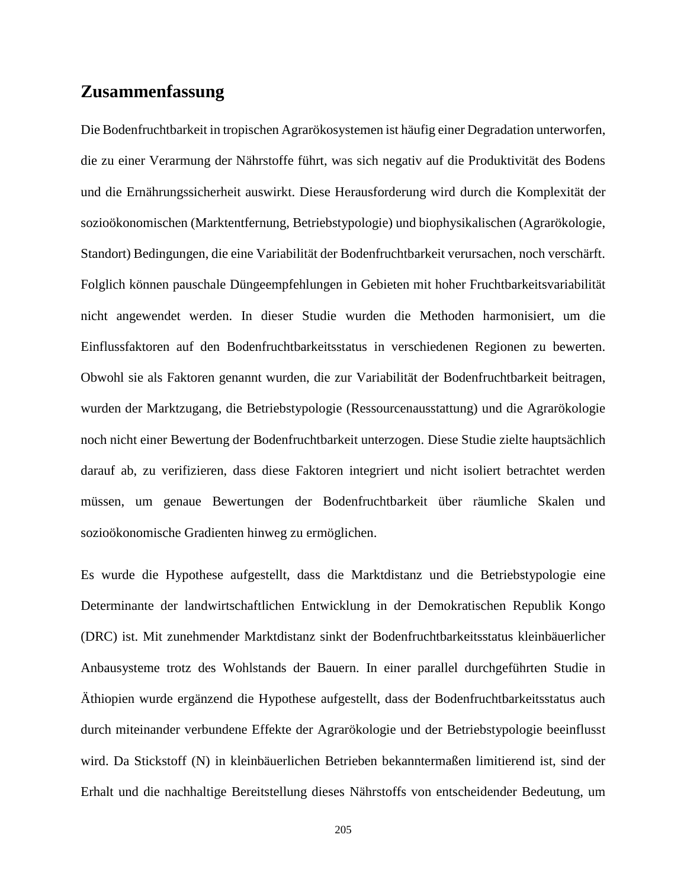## **Zusammenfassung**

Die Bodenfruchtbarkeit in tropischen Agrarökosystemen ist häufig einer Degradation unterworfen, die zu einer Verarmung der Nährstoffe führt, was sich negativ auf die Produktivität des Bodens und die Ernährungssicherheit auswirkt. Diese Herausforderung wird durch die Komplexität der sozioökonomischen (Marktentfernung, Betriebstypologie) und biophysikalischen (Agrarökologie, Standort) Bedingungen, die eine Variabilität der Bodenfruchtbarkeit verursachen, noch verschärft. Folglich können pauschale Düngeempfehlungen in Gebieten mit hoher Fruchtbarkeitsvariabilität nicht angewendet werden. In dieser Studie wurden die Methoden harmonisiert, um die Einflussfaktoren auf den Bodenfruchtbarkeitsstatus in verschiedenen Regionen zu bewerten. Obwohl sie als Faktoren genannt wurden, die zur Variabilität der Bodenfruchtbarkeit beitragen, wurden der Marktzugang, die Betriebstypologie (Ressourcenausstattung) und die Agrarökologie noch nicht einer Bewertung der Bodenfruchtbarkeit unterzogen. Diese Studie zielte hauptsächlich darauf ab, zu verifizieren, dass diese Faktoren integriert und nicht isoliert betrachtet werden müssen, um genaue Bewertungen der Bodenfruchtbarkeit über räumliche Skalen und sozioökonomische Gradienten hinweg zu ermöglichen.

Es wurde die Hypothese aufgestellt, dass die Marktdistanz und die Betriebstypologie eine Determinante der landwirtschaftlichen Entwicklung in der Demokratischen Republik Kongo (DRC) ist. Mit zunehmender Marktdistanz sinkt der Bodenfruchtbarkeitsstatus kleinbäuerlicher Anbausysteme trotz des Wohlstands der Bauern. In einer parallel durchgeführten Studie in Äthiopien wurde ergänzend die Hypothese aufgestellt, dass der Bodenfruchtbarkeitsstatus auch durch miteinander verbundene Effekte der Agrarökologie und der Betriebstypologie beeinflusst wird. Da Stickstoff (N) in kleinbäuerlichen Betrieben bekanntermaßen limitierend ist, sind der Erhalt und die nachhaltige Bereitstellung dieses Nährstoffs von entscheidender Bedeutung, um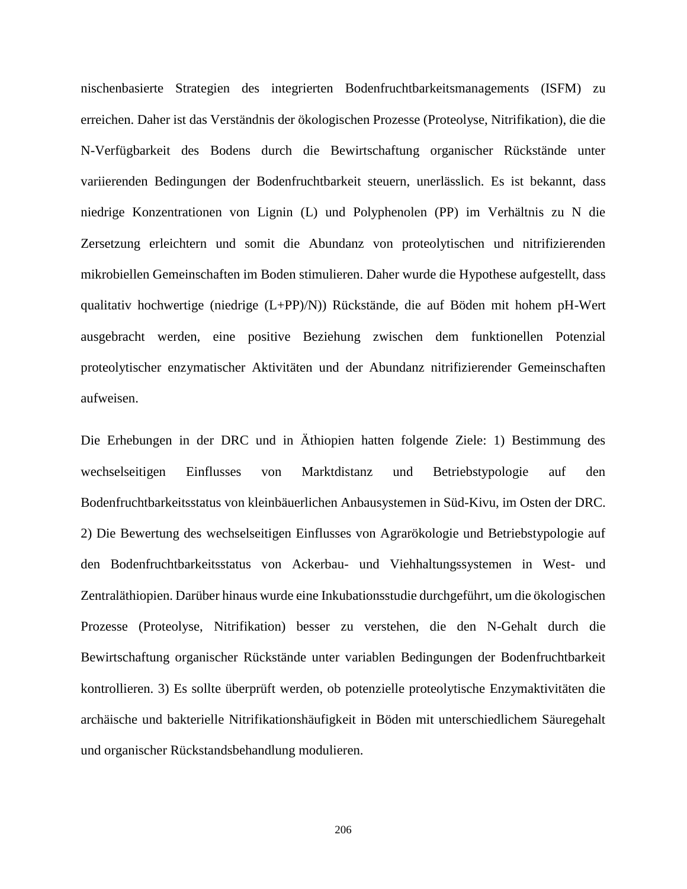nischenbasierte Strategien des integrierten Bodenfruchtbarkeitsmanagements (ISFM) zu erreichen. Daher ist das Verständnis der ökologischen Prozesse (Proteolyse, Nitrifikation), die die N-Verfügbarkeit des Bodens durch die Bewirtschaftung organischer Rückstände unter variierenden Bedingungen der Bodenfruchtbarkeit steuern, unerlässlich. Es ist bekannt, dass niedrige Konzentrationen von Lignin (L) und Polyphenolen (PP) im Verhältnis zu N die Zersetzung erleichtern und somit die Abundanz von proteolytischen und nitrifizierenden mikrobiellen Gemeinschaften im Boden stimulieren. Daher wurde die Hypothese aufgestellt, dass qualitativ hochwertige (niedrige (L+PP)/N)) Rückstände, die auf Böden mit hohem pH-Wert ausgebracht werden, eine positive Beziehung zwischen dem funktionellen Potenzial proteolytischer enzymatischer Aktivitäten und der Abundanz nitrifizierender Gemeinschaften aufweisen.

Die Erhebungen in der DRC und in Äthiopien hatten folgende Ziele: 1) Bestimmung des wechselseitigen Einflusses von Marktdistanz und Betriebstypologie auf den Bodenfruchtbarkeitsstatus von kleinbäuerlichen Anbausystemen in Süd-Kivu, im Osten der DRC. 2) Die Bewertung des wechselseitigen Einflusses von Agrarökologie und Betriebstypologie auf den Bodenfruchtbarkeitsstatus von Ackerbau- und Viehhaltungssystemen in West- und Zentraläthiopien. Darüber hinaus wurde eine Inkubationsstudie durchgeführt, um die ökologischen Prozesse (Proteolyse, Nitrifikation) besser zu verstehen, die den N-Gehalt durch die Bewirtschaftung organischer Rückstände unter variablen Bedingungen der Bodenfruchtbarkeit kontrollieren. 3) Es sollte überprüft werden, ob potenzielle proteolytische Enzymaktivitäten die archäische und bakterielle Nitrifikationshäufigkeit in Böden mit unterschiedlichem Säuregehalt und organischer Rückstandsbehandlung modulieren.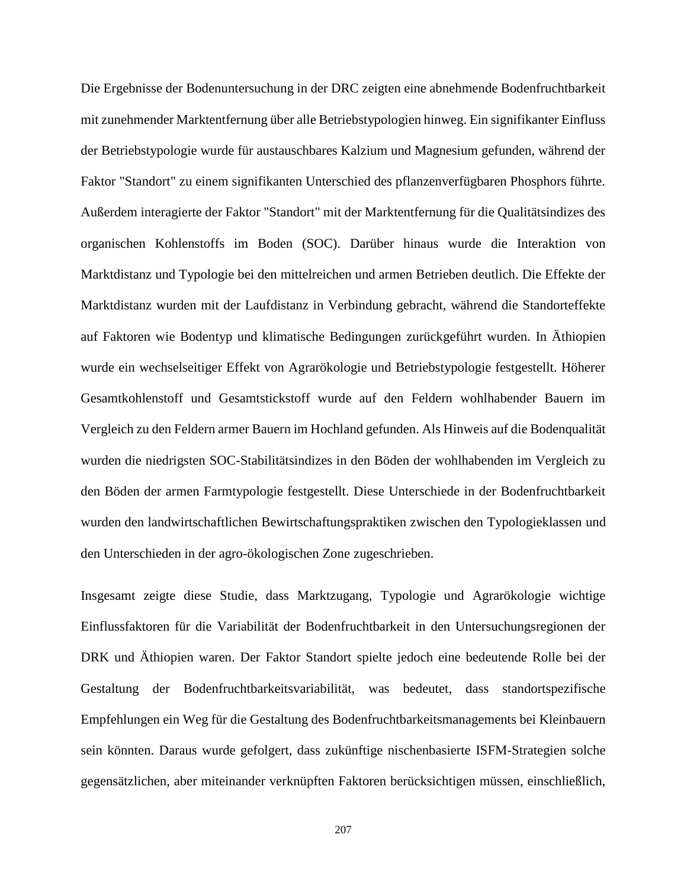Die Ergebnisse der Bodenuntersuchung in der DRC zeigten eine abnehmende Bodenfruchtbarkeit mit zunehmender Marktentfernung über alle Betriebstypologien hinweg. Ein signifikanter Einfluss der Betriebstypologie wurde für austauschbares Kalzium und Magnesium gefunden, während der Faktor "Standort" zu einem signifikanten Unterschied des pflanzenverfügbaren Phosphors führte. Außerdem interagierte der Faktor "Standort" mit der Marktentfernung für die Qualitätsindizes des organischen Kohlenstoffs im Boden (SOC). Darüber hinaus wurde die Interaktion von Marktdistanz und Typologie bei den mittelreichen und armen Betrieben deutlich. Die Effekte der Marktdistanz wurden mit der Laufdistanz in Verbindung gebracht, während die Standorteffekte auf Faktoren wie Bodentyp und klimatische Bedingungen zurückgeführt wurden. In Äthiopien wurde ein wechselseitiger Effekt von Agrarökologie und Betriebstypologie festgestellt. Höherer Gesamtkohlenstoff und Gesamtstickstoff wurde auf den Feldern wohlhabender Bauern im Vergleich zu den Feldern armer Bauern im Hochland gefunden. Als Hinweis auf die Bodenqualität wurden die niedrigsten SOC-Stabilitätsindizes in den Böden der wohlhabenden im Vergleich zu den Böden der armen Farmtypologie festgestellt. Diese Unterschiede in der Bodenfruchtbarkeit wurden den landwirtschaftlichen Bewirtschaftungspraktiken zwischen den Typologieklassen und den Unterschieden in der agro-ökologischen Zone zugeschrieben.

Insgesamt zeigte diese Studie, dass Marktzugang, Typologie und Agrarökologie wichtige Einflussfaktoren für die Variabilität der Bodenfruchtbarkeit in den Untersuchungsregionen der DRK und Äthiopien waren. Der Faktor Standort spielte jedoch eine bedeutende Rolle bei der Gestaltung der Bodenfruchtbarkeitsvariabilität, was bedeutet, dass standortspezifische Empfehlungen ein Weg für die Gestaltung des Bodenfruchtbarkeitsmanagements bei Kleinbauern sein könnten. Daraus wurde gefolgert, dass zukünftige nischenbasierte ISFM-Strategien solche gegensätzlichen, aber miteinander verknüpften Faktoren berücksichtigen müssen, einschließlich,